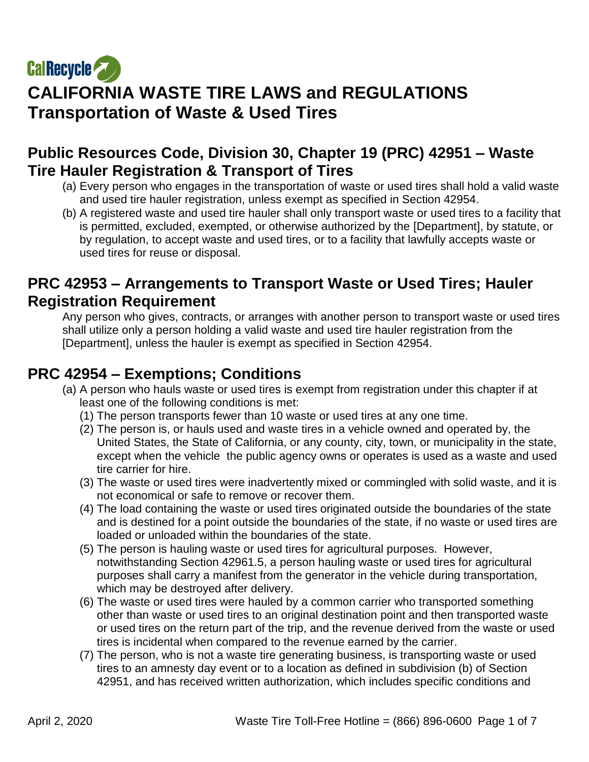# **CalRecycle CALIFORNIA WASTE TIRE LAWS and REGULATIONS Transportation of Waste & Used Tires**

## **Public Resources Code, Division 30, Chapter 19 (PRC) 42951 – Waste Tire Hauler Registration & Transport of Tires**

- (a) Every person who engages in the transportation of waste or used tires shall hold a valid waste and used tire hauler registration, unless exempt as specified in Section 42954.
- (b) A registered waste and used tire hauler shall only transport waste or used tires to a facility that is permitted, excluded, exempted, or otherwise authorized by the [Department], by statute, or by regulation, to accept waste and used tires, or to a facility that lawfully accepts waste or used tires for reuse or disposal.

#### **PRC 42953 – Arrangements to Transport Waste or Used Tires; Hauler Registration Requirement**

Any person who gives, contracts, or arranges with another person to transport waste or used tires shall utilize only a person holding a valid waste and used tire hauler registration from the [Department], unless the hauler is exempt as specified in Section 42954.

# **PRC 42954 – Exemptions; Conditions**

- (a) A person who hauls waste or used tires is exempt from registration under this chapter if at least one of the following conditions is met:
	- (1) The person transports fewer than 10 waste or used tires at any one time.
	- (2) The person is, or hauls used and waste tires in a vehicle owned and operated by, the United States, the State of California, or any county, city, town, or municipality in the state, except when the vehicle the public agency owns or operates is used as a waste and used tire carrier for hire.
	- (3) The waste or used tires were inadvertently mixed or commingled with solid waste, and it is not economical or safe to remove or recover them.
	- (4) The load containing the waste or used tires originated outside the boundaries of the state and is destined for a point outside the boundaries of the state, if no waste or used tires are loaded or unloaded within the boundaries of the state.
	- (5) The person is hauling waste or used tires for agricultural purposes. However, notwithstanding Section 42961.5, a person hauling waste or used tires for agricultural purposes shall carry a manifest from the generator in the vehicle during transportation, which may be destroyed after delivery.
	- (6) The waste or used tires were hauled by a common carrier who transported something other than waste or used tires to an original destination point and then transported waste or used tires on the return part of the trip, and the revenue derived from the waste or used tires is incidental when compared to the revenue earned by the carrier.
	- (7) The person, who is not a waste tire generating business, is transporting waste or used tires to an amnesty day event or to a location as defined in subdivision (b) of Section 42951, and has received written authorization, which includes specific conditions and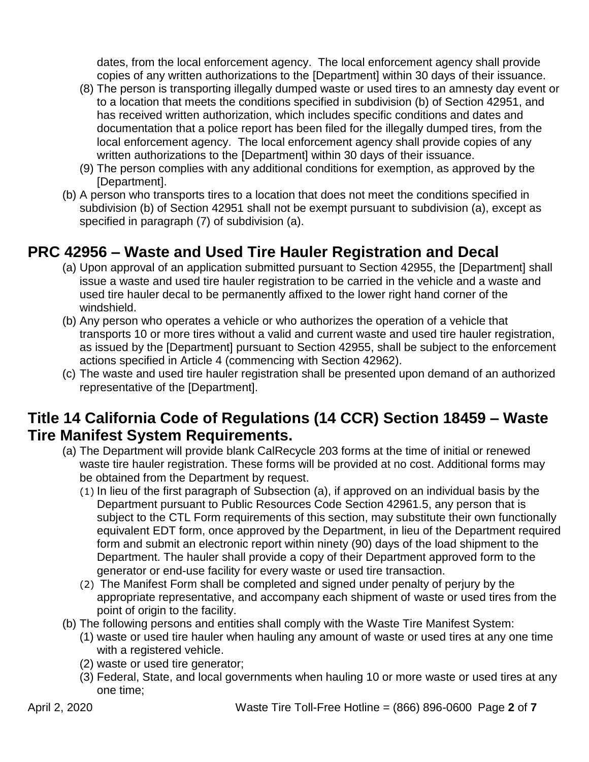dates, from the local enforcement agency. The local enforcement agency shall provide copies of any written authorizations to the [Department] within 30 days of their issuance.

- (8) The person is transporting illegally dumped waste or used tires to an amnesty day event or to a location that meets the conditions specified in subdivision (b) of Section 42951, and has received written authorization, which includes specific conditions and dates and documentation that a police report has been filed for the illegally dumped tires, from the local enforcement agency. The local enforcement agency shall provide copies of any written authorizations to the [Department] within 30 days of their issuance.
- (9) The person complies with any additional conditions for exemption, as approved by the [Department].
- (b) A person who transports tires to a location that does not meet the conditions specified in subdivision (b) of Section 42951 shall not be exempt pursuant to subdivision (a), except as specified in paragraph (7) of subdivision (a).

# **PRC 42956 – Waste and Used Tire Hauler Registration and Decal**

- (a) Upon approval of an application submitted pursuant to Section 42955, the [Department] shall issue a waste and used tire hauler registration to be carried in the vehicle and a waste and used tire hauler decal to be permanently affixed to the lower right hand corner of the windshield.
- (b) Any person who operates a vehicle or who authorizes the operation of a vehicle that transports 10 or more tires without a valid and current waste and used tire hauler registration, as issued by the [Department] pursuant to Section 42955, shall be subject to the enforcement actions specified in Article 4 (commencing with Section 42962).
- (c) The waste and used tire hauler registration shall be presented upon demand of an authorized representative of the [Department].

## **Title 14 California Code of Regulations (14 CCR) Section 18459 – Waste Tire Manifest System Requirements.**

- (a) The Department will provide blank CalRecycle 203 forms at the time of initial or renewed waste tire hauler registration. These forms will be provided at no cost. Additional forms may be obtained from the Department by request.
	- (1) In lieu of the first paragraph of Subsection (a), if approved on an individual basis by the Department pursuant to Public Resources Code Section 42961.5, any person that is subject to the CTL Form requirements of this section, may substitute their own functionally equivalent EDT form, once approved by the Department, in lieu of the Department required form and submit an electronic report within ninety (90) days of the load shipment to the Department. The hauler shall provide a copy of their Department approved form to the generator or end-use facility for every waste or used tire transaction.
	- (2) The Manifest Form shall be completed and signed under penalty of perjury by the appropriate representative, and accompany each shipment of waste or used tires from the point of origin to the facility.
- (b) The following persons and entities shall comply with the Waste Tire Manifest System:
	- (1) waste or used tire hauler when hauling any amount of waste or used tires at any one time with a registered vehicle.
	- (2) waste or used tire generator;
	- (3) Federal, State, and local governments when hauling 10 or more waste or used tires at any one time;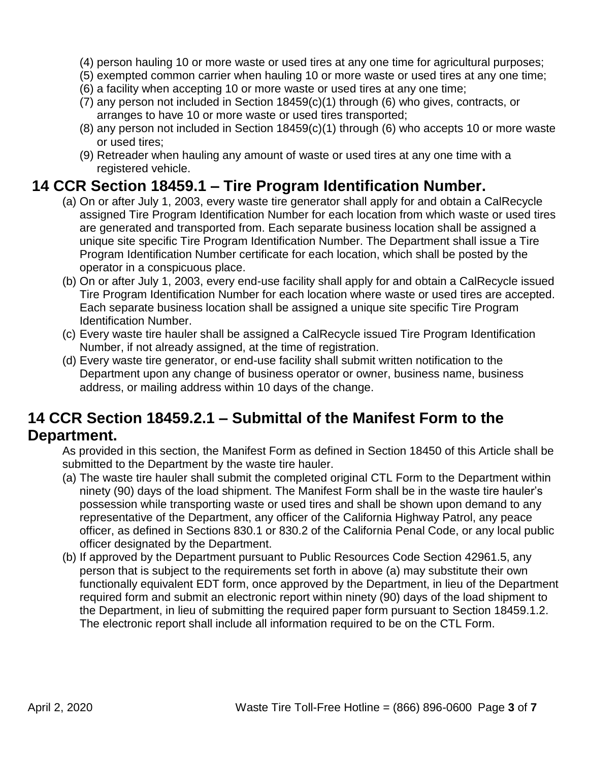- (4) person hauling 10 or more waste or used tires at any one time for agricultural purposes;
- (5) exempted common carrier when hauling 10 or more waste or used tires at any one time;
- (6) a facility when accepting 10 or more waste or used tires at any one time;
- (7) any person not included in Section 18459(c)(1) through (6) who gives, contracts, or arranges to have 10 or more waste or used tires transported;
- (8) any person not included in Section 18459(c)(1) through (6) who accepts 10 or more waste or used tires;
- (9) Retreader when hauling any amount of waste or used tires at any one time with a registered vehicle.

#### **14 CCR Section 18459.1 – Tire Program Identification Number.**

- (a) On or after July 1, 2003, every waste tire generator shall apply for and obtain a CalRecycle assigned Tire Program Identification Number for each location from which waste or used tires are generated and transported from. Each separate business location shall be assigned a unique site specific Tire Program Identification Number. The Department shall issue a Tire Program Identification Number certificate for each location, which shall be posted by the operator in a conspicuous place.
- (b) On or after July 1, 2003, every end-use facility shall apply for and obtain a CalRecycle issued Tire Program Identification Number for each location where waste or used tires are accepted. Each separate business location shall be assigned a unique site specific Tire Program Identification Number.
- (c) Every waste tire hauler shall be assigned a CalRecycle issued Tire Program Identification Number, if not already assigned, at the time of registration.
- (d) Every waste tire generator, or end-use facility shall submit written notification to the Department upon any change of business operator or owner, business name, business address, or mailing address within 10 days of the change.

# **14 CCR Section 18459.2.1 – Submittal of the Manifest Form to the Department.**

As provided in this section, the Manifest Form as defined in Section 18450 of this Article shall be submitted to the Department by the waste tire hauler.

- (a) The waste tire hauler shall submit the completed original CTL Form to the Department within ninety (90) days of the load shipment. The Manifest Form shall be in the waste tire hauler's possession while transporting waste or used tires and shall be shown upon demand to any representative of the Department, any officer of the California Highway Patrol, any peace officer, as defined in Sections 830.1 or 830.2 of the California Penal Code, or any local public officer designated by the Department.
- (b) If approved by the Department pursuant to Public Resources Code Section 42961.5, any person that is subject to the requirements set forth in above (a) may substitute their own functionally equivalent EDT form, once approved by the Department, in lieu of the Department required form and submit an electronic report within ninety (90) days of the load shipment to the Department, in lieu of submitting the required paper form pursuant to Section 18459.1.2. The electronic report shall include all information required to be on the CTL Form.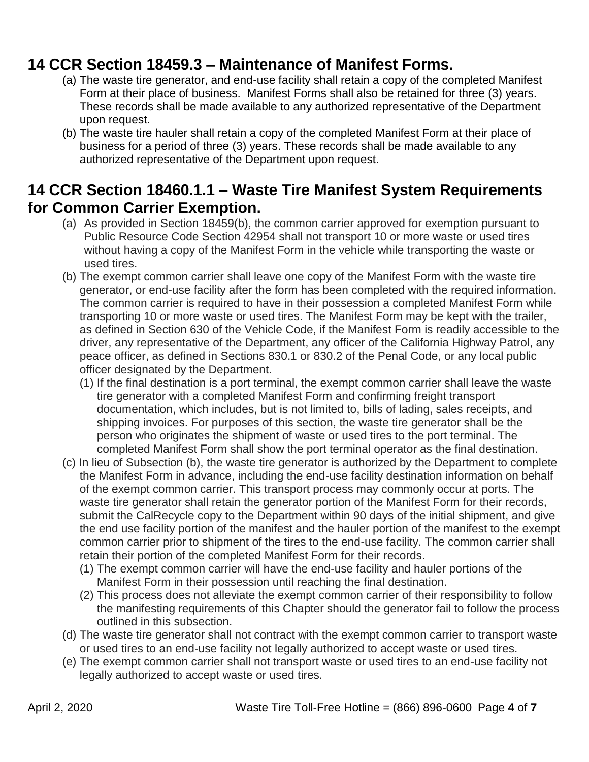## **14 CCR Section 18459.3 – Maintenance of Manifest Forms.**

- (a) The waste tire generator, and end-use facility shall retain a copy of the completed Manifest Form at their place of business. Manifest Forms shall also be retained for three (3) years. These records shall be made available to any authorized representative of the Department upon request.
- (b) The waste tire hauler shall retain a copy of the completed Manifest Form at their place of business for a period of three (3) years. These records shall be made available to any authorized representative of the Department upon request.

## **14 CCR Section 18460.1.1 – Waste Tire Manifest System Requirements for Common Carrier Exemption.**

- (a) As provided in Section 18459(b), the common carrier approved for exemption pursuant to Public Resource Code Section 42954 shall not transport 10 or more waste or used tires without having a copy of the Manifest Form in the vehicle while transporting the waste or used tires.
- (b) The exempt common carrier shall leave one copy of the Manifest Form with the waste tire generator, or end-use facility after the form has been completed with the required information. The common carrier is required to have in their possession a completed Manifest Form while transporting 10 or more waste or used tires. The Manifest Form may be kept with the trailer, as defined in Section 630 of the Vehicle Code, if the Manifest Form is readily accessible to the driver, any representative of the Department, any officer of the California Highway Patrol, any peace officer, as defined in Sections 830.1 or 830.2 of the Penal Code, or any local public officer designated by the Department.
	- (1) If the final destination is a port terminal, the exempt common carrier shall leave the waste tire generator with a completed Manifest Form and confirming freight transport documentation, which includes, but is not limited to, bills of lading, sales receipts, and shipping invoices. For purposes of this section, the waste tire generator shall be the person who originates the shipment of waste or used tires to the port terminal. The completed Manifest Form shall show the port terminal operator as the final destination.
- (c) In lieu of Subsection (b), the waste tire generator is authorized by the Department to complete the Manifest Form in advance, including the end-use facility destination information on behalf of the exempt common carrier. This transport process may commonly occur at ports. The waste tire generator shall retain the generator portion of the Manifest Form for their records, submit the CalRecycle copy to the Department within 90 days of the initial shipment, and give the end use facility portion of the manifest and the hauler portion of the manifest to the exempt common carrier prior to shipment of the tires to the end-use facility. The common carrier shall retain their portion of the completed Manifest Form for their records.
	- (1) The exempt common carrier will have the end-use facility and hauler portions of the Manifest Form in their possession until reaching the final destination.
	- (2) This process does not alleviate the exempt common carrier of their responsibility to follow the manifesting requirements of this Chapter should the generator fail to follow the process outlined in this subsection.
- (d) The waste tire generator shall not contract with the exempt common carrier to transport waste or used tires to an end-use facility not legally authorized to accept waste or used tires.
- (e) The exempt common carrier shall not transport waste or used tires to an end-use facility not legally authorized to accept waste or used tires.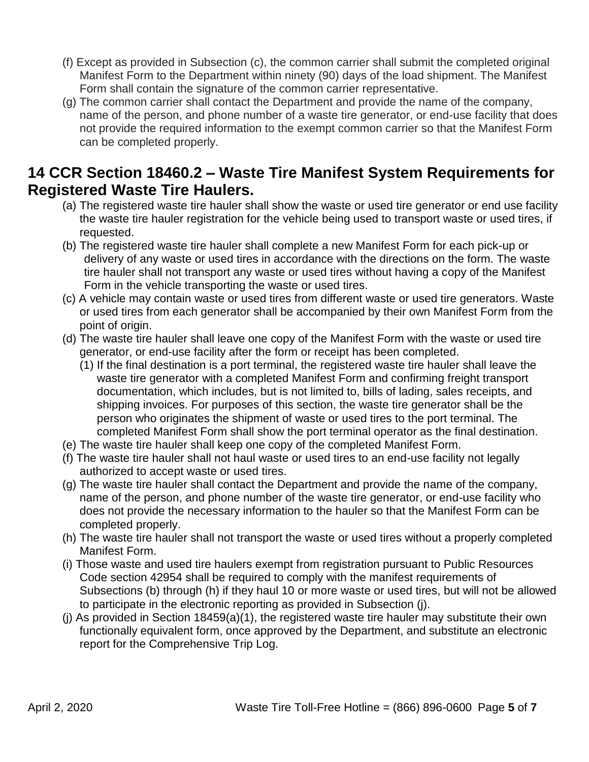- (f) Except as provided in Subsection (c), the common carrier shall submit the completed original Manifest Form to the Department within ninety (90) days of the load shipment. The Manifest Form shall contain the signature of the common carrier representative.
- (g) The common carrier shall contact the Department and provide the name of the company, name of the person, and phone number of a waste tire generator, or end-use facility that does not provide the required information to the exempt common carrier so that the Manifest Form can be completed properly.

#### **14 CCR Section 18460.2 – Waste Tire Manifest System Requirements for Registered Waste Tire Haulers.**

- (a) The registered waste tire hauler shall show the waste or used tire generator or end use facility the waste tire hauler registration for the vehicle being used to transport waste or used tires, if requested.
- (b) The registered waste tire hauler shall complete a new Manifest Form for each pick-up or delivery of any waste or used tires in accordance with the directions on the form. The waste tire hauler shall not transport any waste or used tires without having a copy of the Manifest Form in the vehicle transporting the waste or used tires.
- (c) A vehicle may contain waste or used tires from different waste or used tire generators. Waste or used tires from each generator shall be accompanied by their own Manifest Form from the point of origin.
- (d) The waste tire hauler shall leave one copy of the Manifest Form with the waste or used tire generator, or end-use facility after the form or receipt has been completed.
	- (1) If the final destination is a port terminal, the registered waste tire hauler shall leave the waste tire generator with a completed Manifest Form and confirming freight transport documentation, which includes, but is not limited to, bills of lading, sales receipts, and shipping invoices. For purposes of this section, the waste tire generator shall be the person who originates the shipment of waste or used tires to the port terminal. The completed Manifest Form shall show the port terminal operator as the final destination.
- (e) The waste tire hauler shall keep one copy of the completed Manifest Form.
- (f) The waste tire hauler shall not haul waste or used tires to an end-use facility not legally authorized to accept waste or used tires.
- (g) The waste tire hauler shall contact the Department and provide the name of the company, name of the person, and phone number of the waste tire generator, or end-use facility who does not provide the necessary information to the hauler so that the Manifest Form can be completed properly.
- (h) The waste tire hauler shall not transport the waste or used tires without a properly completed Manifest Form.
- (i) Those waste and used tire haulers exempt from registration pursuant to Public Resources Code section 42954 shall be required to comply with the manifest requirements of Subsections (b) through (h) if they haul 10 or more waste or used tires, but will not be allowed to participate in the electronic reporting as provided in Subsection (j).
- (j) As provided in Section 18459(a)(1), the registered waste tire hauler may substitute their own functionally equivalent form, once approved by the Department, and substitute an electronic report for the Comprehensive Trip Log.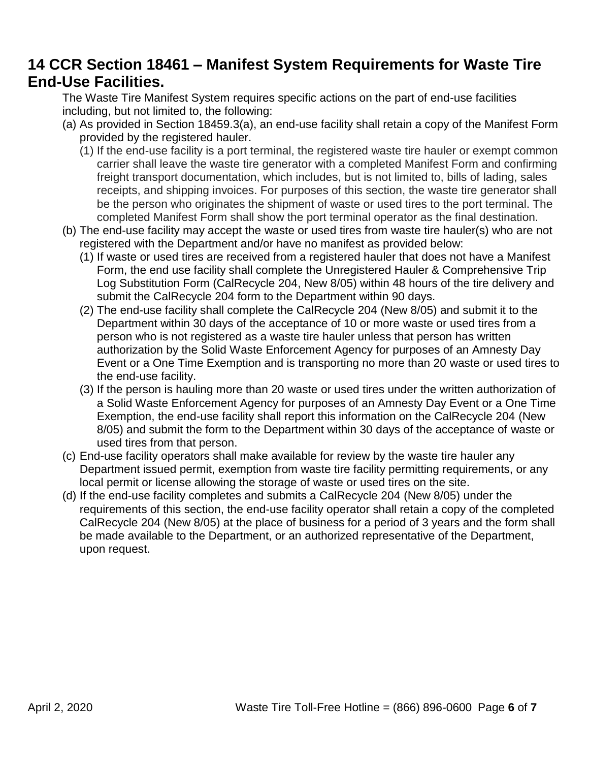# **14 CCR Section 18461 – Manifest System Requirements for Waste Tire End-Use Facilities.**

The Waste Tire Manifest System requires specific actions on the part of end-use facilities including, but not limited to, the following:

- (a) As provided in Section 18459.3(a), an end-use facility shall retain a copy of the Manifest Form provided by the registered hauler.
	- (1) If the end-use facility is a port terminal, the registered waste tire hauler or exempt common carrier shall leave the waste tire generator with a completed Manifest Form and confirming freight transport documentation, which includes, but is not limited to, bills of lading, sales receipts, and shipping invoices. For purposes of this section, the waste tire generator shall be the person who originates the shipment of waste or used tires to the port terminal. The completed Manifest Form shall show the port terminal operator as the final destination.
- (b) The end-use facility may accept the waste or used tires from waste tire hauler(s) who are not registered with the Department and/or have no manifest as provided below:
	- (1) If waste or used tires are received from a registered hauler that does not have a Manifest Form, the end use facility shall complete the Unregistered Hauler & Comprehensive Trip Log Substitution Form (CalRecycle 204, New 8/05) within 48 hours of the tire delivery and submit the CalRecycle 204 form to the Department within 90 days.
	- (2) The end-use facility shall complete the CalRecycle 204 (New 8/05) and submit it to the Department within 30 days of the acceptance of 10 or more waste or used tires from a person who is not registered as a waste tire hauler unless that person has written authorization by the Solid Waste Enforcement Agency for purposes of an Amnesty Day Event or a One Time Exemption and is transporting no more than 20 waste or used tires to the end-use facility.
	- (3) If the person is hauling more than 20 waste or used tires under the written authorization of a Solid Waste Enforcement Agency for purposes of an Amnesty Day Event or a One Time Exemption, the end-use facility shall report this information on the CalRecycle 204 (New 8/05) and submit the form to the Department within 30 days of the acceptance of waste or used tires from that person.
- (c) End-use facility operators shall make available for review by the waste tire hauler any Department issued permit, exemption from waste tire facility permitting requirements, or any local permit or license allowing the storage of waste or used tires on the site.
- (d) If the end-use facility completes and submits a CalRecycle 204 (New 8/05) under the requirements of this section, the end-use facility operator shall retain a copy of the completed CalRecycle 204 (New 8/05) at the place of business for a period of 3 years and the form shall be made available to the Department, or an authorized representative of the Department, upon request.